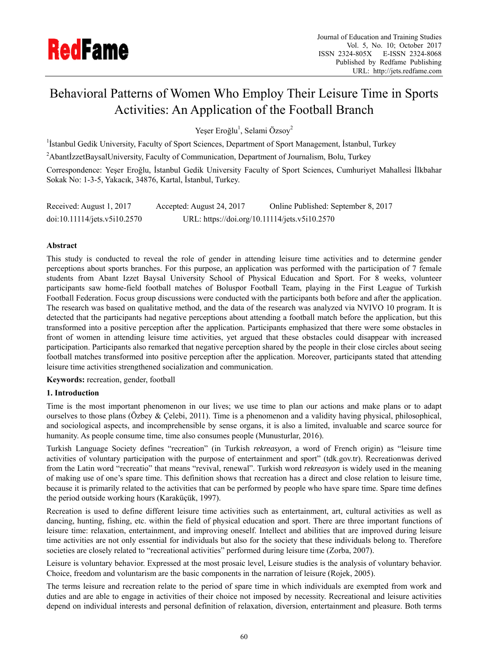

# Behavioral Patterns of Women Who Employ Their Leisure Time in Sports Activities: An Application of the Football Branch

Yeşer Eroğlu<sup>1</sup>, Selami Özsoy<sup>2</sup>

<sup>1</sup> Istanbul Gedik University, Faculty of Sport Sciences, Department of Sport Management, İstanbul, Turkey

<sup>2</sup>AbantİzzetBaysalUniversity, Faculty of Communication, Department of Journalism, Bolu, Turkey

Correspondence: Yeşer Eroğlu, İstanbul Gedik University Faculty of Sport Sciences, Cumhuriyet Mahallesi İlkbahar Sokak No: 1-3-5, Yakacık, 34876, Kartal, İstanbul, Turkey.

| Received: August 1, 2017     | Accepted: August 24, 2017                     | Online Published: September 8, 2017 |
|------------------------------|-----------------------------------------------|-------------------------------------|
| doi:10.11114/jets.v5i10.2570 | URL: https://doi.org/10.11114/jets.v5i10.2570 |                                     |

# **Abstract**

This study is conducted to reveal the role of gender in attending leisure time activities and to determine gender perceptions about sports branches. For this purpose, an application was performed with the participation of 7 female students from Abant Izzet Baysal University School of Physical Education and Sport. For 8 weeks, volunteer participants saw home-field football matches of Boluspor Football Team, playing in the First League of Turkish Football Federation. Focus group discussions were conducted with the participants both before and after the application. The research was based on qualitative method, and the data of the research was analyzed via NVIVO 10 program. It is detected that the participants had negative perceptions about attending a football match before the application, but this transformed into a positive perception after the application. Participants emphasized that there were some obstacles in front of women in attending leisure time activities, yet argued that these obstacles could disappear with increased participation. Participants also remarked that negative perception shared by the people in their close circles about seeing football matches transformed into positive perception after the application. Moreover, participants stated that attending leisure time activities strengthened socialization and communication.

**Keywords:** recreation, gender, football

## **1. Introduction**

Time is the most important phenomenon in our lives; we use time to plan our actions and make plans or to adapt ourselves to those plans (Özbey & Çelebi, 2011). Time is a phenomenon and a validity having physical, philosophical, and sociological aspects, and incomprehensible by sense organs, it is also a limited, invaluable and scarce source for humanity. As people consume time, time also consumes people (Munusturlar, 2016).

Turkish Language Society defines "recreation" (in Turkish *rekreasyon*, a word of French origin) as "leisure time activities of voluntary participation with the purpose of entertainment and sport" (tdk.gov.tr). Recreationwas derived from the Latin word "recreatio" that means "revival, renewal". Turkish word *rekreasyon* is widely used in the meaning of making use of one's spare time. This definition shows that recreation has a direct and close relation to leisure time, because it is primarily related to the activities that can be performed by people who have spare time. Spare time defines the period outside working hours (Karaküçük, 1997).

Recreation is used to define different leisure time activities such as entertainment, art, cultural activities as well as dancing, hunting, fishing, etc. within the field of physical education and sport. There are three important functions of leisure time: relaxation, entertainment, and improving oneself. Intellect and abilities that are improved during leisure time activities are not only essential for individuals but also for the society that these individuals belong to. Therefore societies are closely related to "recreational activities" performed during leisure time (Zorba, 2007).

Leisure is voluntary behavior. Expressed at the most prosaic level, Leisure studies is the analysis of voluntary behavior. Choice, freedom and voluntarism are the basic components in the narration of leisure (Rojek, 2005).

The terms leisure and recreation relate to the period of spare time in which individuals are exempted from work and duties and are able to engage in activities of their choice not imposed by necessity. Recreational and leisure activities depend on individual interests and personal definition of relaxation, diversion, entertainment and pleasure. Both terms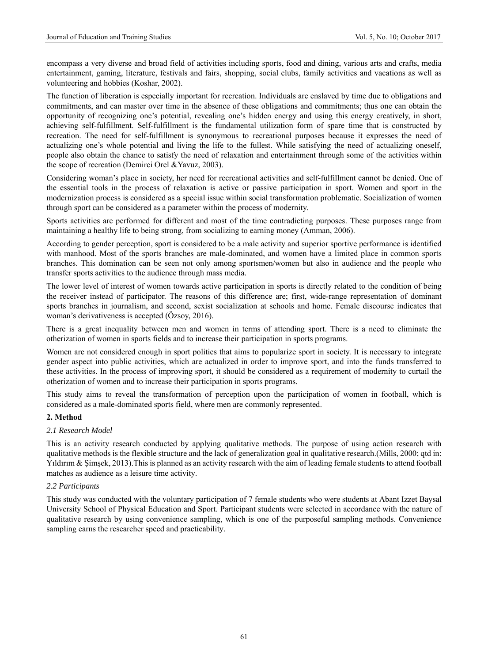encompass a very diverse and broad field of activities including sports, food and dining, various arts and crafts, media entertainment, gaming, literature, festivals and fairs, shopping, social clubs, family activities and vacations as well as volunteering and hobbies (Koshar, 2002).

The function of liberation is especially important for recreation. Individuals are enslaved by time due to obligations and commitments, and can master over time in the absence of these obligations and commitments; thus one can obtain the opportunity of recognizing one's potential, revealing one's hidden energy and using this energy creatively, in short, achieving self-fulfillment. Self-fulfillment is the fundamental utilization form of spare time that is constructed by recreation. The need for self-fulfillment is synonymous to recreational purposes because it expresses the need of actualizing one's whole potential and living the life to the fullest. While satisfying the need of actualizing oneself, people also obtain the chance to satisfy the need of relaxation and entertainment through some of the activities within the scope of recreation (Demirci Orel &Yavuz, 2003).

Considering woman's place in society, her need for recreational activities and self-fulfillment cannot be denied. One of the essential tools in the process of relaxation is active or passive participation in sport. Women and sport in the modernization process is considered as a special issue within social transformation problematic. Socialization of women through sport can be considered as a parameter within the process of modernity.

Sports activities are performed for different and most of the time contradicting purposes. These purposes range from maintaining a healthy life to being strong, from socializing to earning money (Amman, 2006).

According to gender perception, sport is considered to be a male activity and superior sportive performance is identified with manhood. Most of the sports branches are male-dominated, and women have a limited place in common sports branches. This domination can be seen not only among sportsmen/women but also in audience and the people who transfer sports activities to the audience through mass media.

The lower level of interest of women towards active participation in sports is directly related to the condition of being the receiver instead of participator. The reasons of this difference are; first, wide-range representation of dominant sports branches in journalism, and second, sexist socialization at schools and home. Female discourse indicates that woman's derivativeness is accepted (Özsoy, 2016).

There is a great inequality between men and women in terms of attending sport. There is a need to eliminate the otherization of women in sports fields and to increase their participation in sports programs.

Women are not considered enough in sport politics that aims to popularize sport in society. It is necessary to integrate gender aspect into public activities, which are actualized in order to improve sport, and into the funds transferred to these activities. In the process of improving sport, it should be considered as a requirement of modernity to curtail the otherization of women and to increase their participation in sports programs.

This study aims to reveal the transformation of perception upon the participation of women in football, which is considered as a male-dominated sports field, where men are commonly represented.

# **2. Method**

## *2.1 Research Model*

This is an activity research conducted by applying qualitative methods. The purpose of using action research with qualitative methods is the flexible structure and the lack of generalization goal in qualitative research.(Mills, 2000; qtd in: Yıldırım & Şimşek, 2013).This is planned as an activity research with the aim of leading female students to attend football matches as audience as a leisure time activity.

# *2.2 Participants*

This study was conducted with the voluntary participation of 7 female students who were students at Abant Izzet Baysal University School of Physical Education and Sport. Participant students were selected in accordance with the nature of qualitative research by using convenience sampling, which is one of the purposeful sampling methods. Convenience sampling earns the researcher speed and practicability.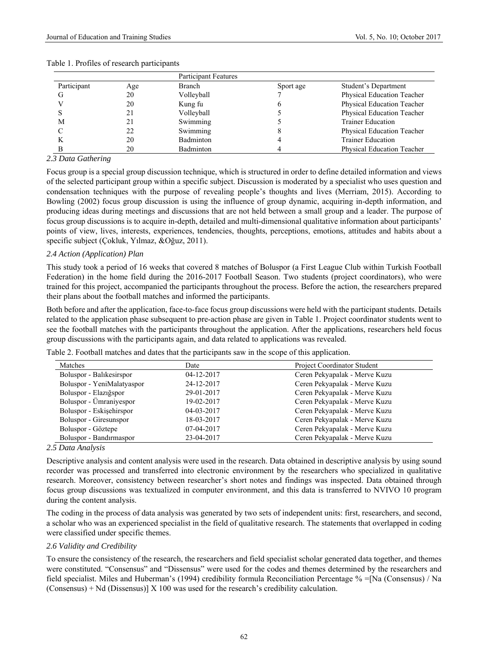|             |     | <b>Participant Features</b> |           |                                   |  |
|-------------|-----|-----------------------------|-----------|-----------------------------------|--|
| Participant | Age | <b>Branch</b>               | Sport age | Student's Department              |  |
|             | 20  | Volleyball                  |           | Physical Education Teacher        |  |
|             | 20  | Kung fu                     |           | Physical Education Teacher        |  |
|             | 21  | Volleyball                  |           | Physical Education Teacher        |  |
| М           | 21  | Swimming                    |           | <b>Trainer Education</b>          |  |
|             | 22  | Swimming                    |           | Physical Education Teacher        |  |
|             | 20  | <b>Badminton</b>            |           | <b>Trainer Education</b>          |  |
|             | 20  | Badminton                   |           | <b>Physical Education Teacher</b> |  |

#### Table 1. Profiles of research participants

### *2.3 Data Gathering*

Focus group is a special group discussion technique, which is structured in order to define detailed information and views of the selected participant group within a specific subject. Discussion is moderated by a specialist who uses question and condensation techniques with the purpose of revealing people's thoughts and lives (Merriam, 2015). According to Bowling (2002) focus group discussion is using the influence of group dynamic, acquiring in-depth information, and producing ideas during meetings and discussions that are not held between a small group and a leader. The purpose of focus group discussions is to acquire in-depth, detailed and multi-dimensional qualitative information about participants' points of view, lives, interests, experiences, tendencies, thoughts, perceptions, emotions, attitudes and habits about a specific subject (Çokluk, Yılmaz, &Oğuz, 2011).

## *2.4 Action (Application) Plan*

This study took a period of 16 weeks that covered 8 matches of Boluspor (a First League Club within Turkish Football Federation) in the home field during the 2016-2017 Football Season. Two students (project coordinators), who were trained for this project, accompanied the participants throughout the process. Before the action, the researchers prepared their plans about the football matches and informed the participants.

Both before and after the application, face-to-face focus group discussions were held with the participant students. Details related to the application phase subsequent to pre-action phase are given in Table 1. Project coordinator students went to see the football matches with the participants throughout the application. After the applications, researchers held focus group discussions with the participants again, and data related to applications was revealed.

|  |  | Table 2. Football matches and dates that the participants saw in the scope of this application. |
|--|--|-------------------------------------------------------------------------------------------------|
|  |  |                                                                                                 |

| Matches                    | Date             | <b>Project Coordinator Student</b> |
|----------------------------|------------------|------------------------------------|
| Boluspor - Balikesirspor   | $04 - 12 - 2017$ | Ceren Pekyapalak - Merve Kuzu      |
| Boluspor - YeniMalatyaspor | 24-12-2017       | Ceren Pekyapalak - Merve Kuzu      |
| Boluspor - Elaziğspor      | 29-01-2017       | Ceren Pekyapalak - Merve Kuzu      |
| Boluspor - Ümraniyespor    | 19-02-2017       | Ceren Pekyapalak - Merve Kuzu      |
| Boluspor - Eskisehirspor   | $04 - 03 - 2017$ | Ceren Pekyapalak - Merve Kuzu      |
| Boluspor - Giresunspor     | 18-03-2017       | Ceren Pekyapalak - Merve Kuzu      |
| Boluspor - Göztepe         | $07-04-2017$     | Ceren Pekyapalak - Merve Kuzu      |
| Boluspor - Bandırmaspor    | 23-04-2017       | Ceren Pekyapalak - Merve Kuzu      |

#### *2.5 Data Analysis*

Descriptive analysis and content analysis were used in the research. Data obtained in descriptive analysis by using sound recorder was processed and transferred into electronic environment by the researchers who specialized in qualitative research. Moreover, consistency between researcher's short notes and findings was inspected. Data obtained through focus group discussions was textualized in computer environment, and this data is transferred to NVIVO 10 program during the content analysis.

The coding in the process of data analysis was generated by two sets of independent units: first, researchers, and second, a scholar who was an experienced specialist in the field of qualitative research. The statements that overlapped in coding were classified under specific themes.

#### *2.6 Validity and Credibility*

To ensure the consistency of the research, the researchers and field specialist scholar generated data together, and themes were constituted. "Consensus" and "Dissensus" were used for the codes and themes determined by the researchers and field specialist. Miles and Huberman's (1994) credibility formula Reconciliation Percentage % =[Na (Consensus) / Na (Consensus) + Nd (Dissensus)]  $X$  100 was used for the research's credibility calculation.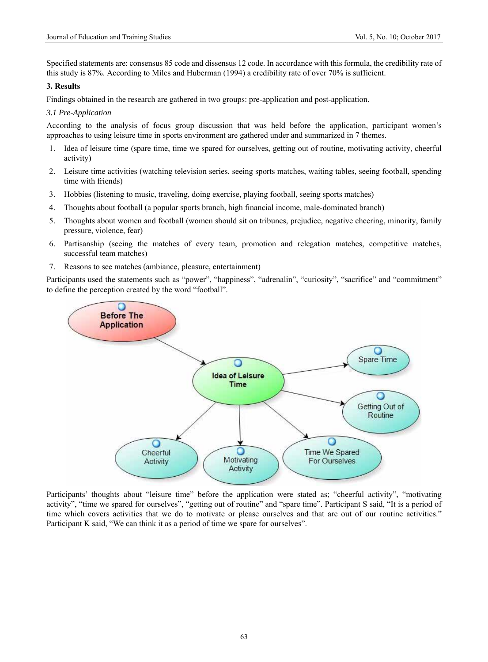Specified statements are: consensus 85 code and dissensus 12 code. In accordance with this formula, the credibility rate of this study is 87%. According to Miles and Huberman (1994) a credibility rate of over 70% is sufficient.

# **3. Results**

Findings obtained in the research are gathered in two groups: pre-application and post-application.

# *3.1 Pre-Application*

According to the analysis of focus group discussion that was held before the application, participant women's approaches to using leisure time in sports environment are gathered under and summarized in 7 themes.

- 1. Idea of leisure time (spare time, time we spared for ourselves, getting out of routine, motivating activity, cheerful activity)
- 2. Leisure time activities (watching television series, seeing sports matches, waiting tables, seeing football, spending time with friends)
- 3. Hobbies (listening to music, traveling, doing exercise, playing football, seeing sports matches)
- 4. Thoughts about football (a popular sports branch, high financial income, male-dominated branch)
- 5. Thoughts about women and football (women should sit on tribunes, prejudice, negative cheering, minority, family pressure, violence, fear)
- 6. Partisanship (seeing the matches of every team, promotion and relegation matches, competitive matches, successful team matches)
- 7. Reasons to see matches (ambiance, pleasure, entertainment)

Participants used the statements such as "power", "happiness", "adrenalin", "curiosity", "sacrifice" and "commitment" to define the perception created by the word "football".



Participants' thoughts about "leisure time" before the application were stated as; "cheerful activity", "motivating activity", "time we spared for ourselves", "getting out of routine" and "spare time". Participant S said, "It is a period of time which covers activities that we do to motivate or please ourselves and that are out of our routine activities." Participant K said, "We can think it as a period of time we spare for ourselves".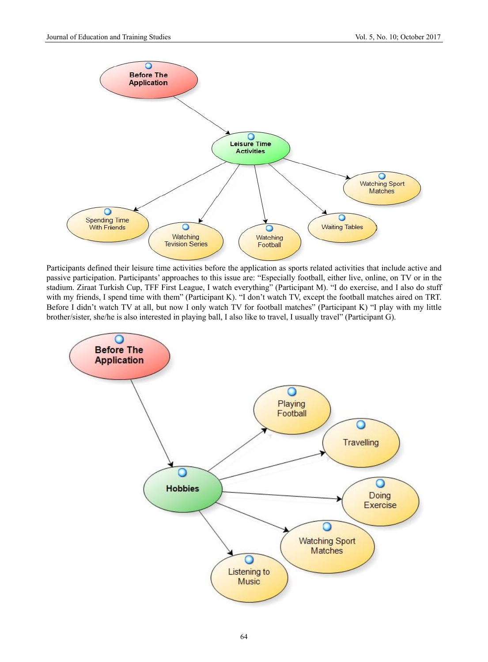

Participants defined their leisure time activities before the application as sports related activities that include active and passive participation. Participants' approaches to this issue are: "Especially football, either live, online, on TV or in the stadium. Ziraat Turkish Cup, TFF First League, I watch everything" (Participant M). "I do exercise, and I also do stuff with my friends, I spend time with them" (Participant K). "I don't watch TV, except the football matches aired on TRT. Before I didn't watch TV at all, but now I only watch TV for football matches" (Participant K) "I play with my little brother/sister, she/he is also interested in playing ball, I also like to travel, I usually travel" (Participant G).

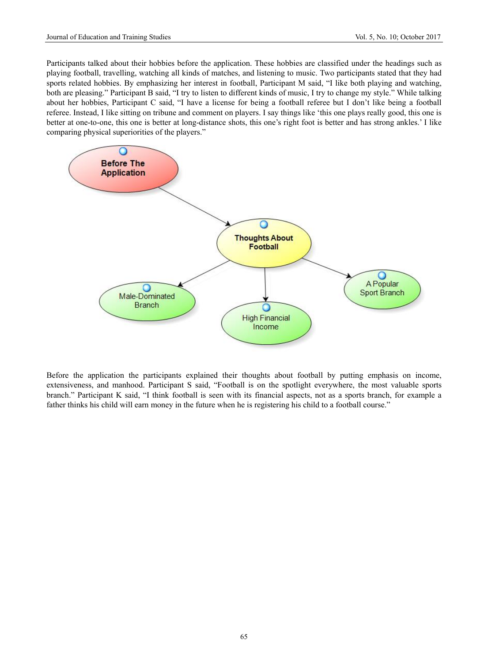Participants talked about their hobbies before the application. These hobbies are classified under the headings such as playing football, travelling, watching all kinds of matches, and listening to music. Two participants stated that they had sports related hobbies. By emphasizing her interest in football, Participant M said, "I like both playing and watching, both are pleasing." Participant B said, "I try to listen to different kinds of music, I try to change my style." While talking about her hobbies, Participant C said, "I have a license for being a football referee but I don't like being a football referee. Instead, I like sitting on tribune and comment on players. I say things like 'this one plays really good, this one is better at one-to-one, this one is better at long-distance shots, this one's right foot is better and has strong ankles.' I like comparing physical superiorities of the players."



Before the application the participants explained their thoughts about football by putting emphasis on income, extensiveness, and manhood. Participant S said, "Football is on the spotlight everywhere, the most valuable sports branch." Participant K said, "I think football is seen with its financial aspects, not as a sports branch, for example a father thinks his child will earn money in the future when he is registering his child to a football course."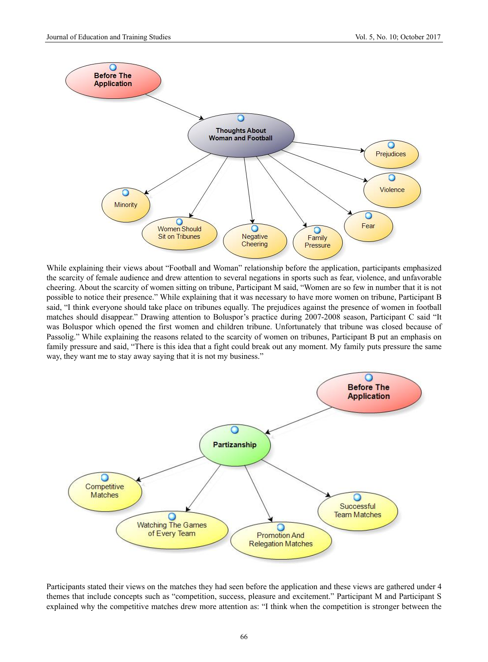

While explaining their views about "Football and Woman" relationship before the application, participants emphasized the scarcity of female audience and drew attention to several negations in sports such as fear, violence, and unfavorable cheering. About the scarcity of women sitting on tribune, Participant M said, "Women are so few in number that it is not possible to notice their presence." While explaining that it was necessary to have more women on tribune, Participant B said, "I think everyone should take place on tribunes equally. The prejudices against the presence of women in football matches should disappear." Drawing attention to Boluspor's practice during 2007-2008 season, Participant C said "It was Boluspor which opened the first women and children tribune. Unfortunately that tribune was closed because of Passolig." While explaining the reasons related to the scarcity of women on tribunes, Participant B put an emphasis on family pressure and said, "There is this idea that a fight could break out any moment. My family puts pressure the same way, they want me to stay away saying that it is not my business."



Participants stated their views on the matches they had seen before the application and these views are gathered under 4 themes that include concepts such as "competition, success, pleasure and excitement." Participant M and Participant S explained why the competitive matches drew more attention as: "I think when the competition is stronger between the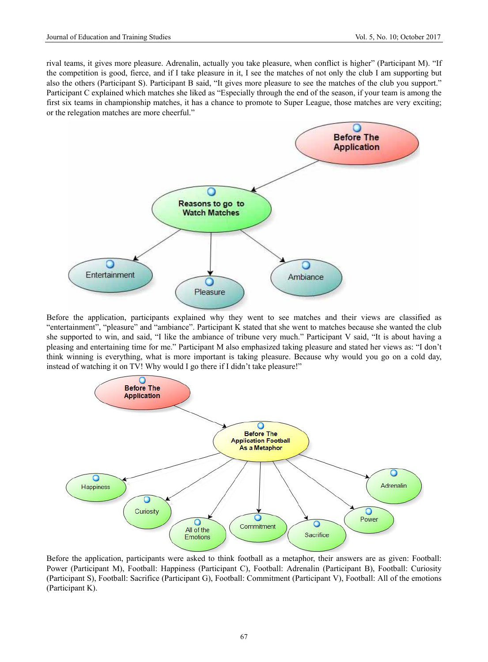rival teams, it gives more pleasure. Adrenalin, actually you take pleasure, when conflict is higher" (Participant M). "If the competition is good, fierce, and if I take pleasure in it, I see the matches of not only the club I am supporting but also the others (Participant S). Participant B said, "It gives more pleasure to see the matches of the club you support." Participant C explained which matches she liked as "Especially through the end of the season, if your team is among the first six teams in championship matches, it has a chance to promote to Super League, those matches are very exciting; or the relegation matches are more cheerful."



Before the application, participants explained why they went to see matches and their views are classified as "entertainment", "pleasure" and "ambiance". Participant K stated that she went to matches because she wanted the club she supported to win, and said, "I like the ambiance of tribune very much." Participant V said, "It is about having a pleasing and entertaining time for me." Participant M also emphasized taking pleasure and stated her views as: "I don't think winning is everything, what is more important is taking pleasure. Because why would you go on a cold day, instead of watching it on TV! Why would I go there if I didn't take pleasure!"



Before the application, participants were asked to think football as a metaphor, their answers are as given: Football: Power (Participant M), Football: Happiness (Participant C), Football: Adrenalin (Participant B), Football: Curiosity (Participant S), Football: Sacrifice (Participant G), Football: Commitment (Participant V), Football: All of the emotions (Participant K).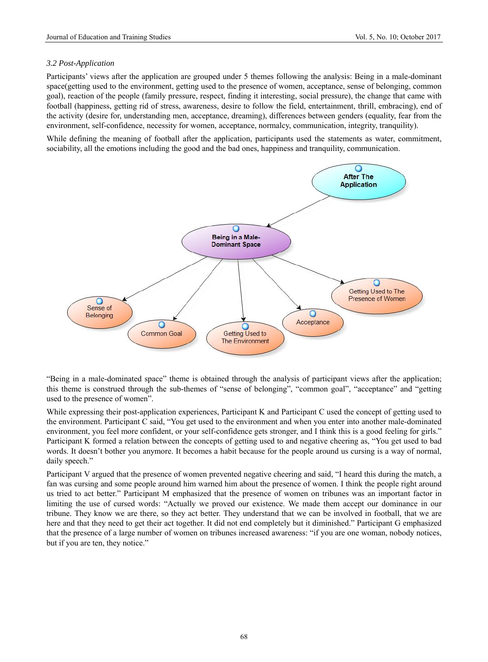# *3.2 Post-Application*

Participants' views after the application are grouped under 5 themes following the analysis: Being in a male-dominant space(getting used to the environment, getting used to the presence of women, acceptance, sense of belonging, common goal), reaction of the people (family pressure, respect, finding it interesting, social pressure), the change that came with football (happiness, getting rid of stress, awareness, desire to follow the field, entertainment, thrill, embracing), end of the activity (desire for, understanding men, acceptance, dreaming), differences between genders (equality, fear from the environment, self-confidence, necessity for women, acceptance, normalcy, communication, integrity, tranquility).

While defining the meaning of football after the application, participants used the statements as water, commitment, sociability, all the emotions including the good and the bad ones, happiness and tranquility, communication.



"Being in a male-dominated space" theme is obtained through the analysis of participant views after the application; this theme is construed through the sub-themes of "sense of belonging", "common goal", "acceptance" and "getting used to the presence of women".

While expressing their post-application experiences, Participant K and Participant C used the concept of getting used to the environment. Participant C said, "You get used to the environment and when you enter into another male-dominated environment, you feel more confident, or your self-confidence gets stronger, and I think this is a good feeling for girls." Participant K formed a relation between the concepts of getting used to and negative cheering as, "You get used to bad words. It doesn't bother you anymore. It becomes a habit because for the people around us cursing is a way of normal, daily speech."

Participant V argued that the presence of women prevented negative cheering and said, "I heard this during the match, a fan was cursing and some people around him warned him about the presence of women. I think the people right around us tried to act better." Participant M emphasized that the presence of women on tribunes was an important factor in limiting the use of cursed words: "Actually we proved our existence. We made them accept our dominance in our tribune. They know we are there, so they act better. They understand that we can be involved in football, that we are here and that they need to get their act together. It did not end completely but it diminished." Participant G emphasized that the presence of a large number of women on tribunes increased awareness: "if you are one woman, nobody notices, but if you are ten, they notice."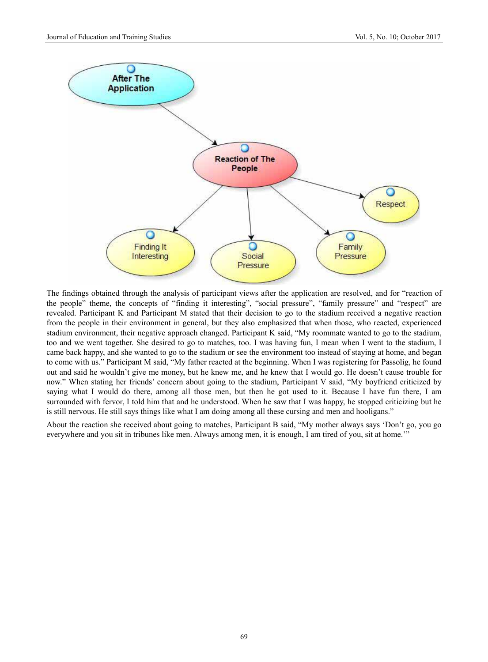

The findings obtained through the analysis of participant views after the application are resolved, and for "reaction of the people" theme, the concepts of "finding it interesting", "social pressure", "family pressure" and "respect" are revealed. Participant K and Participant M stated that their decision to go to the stadium received a negative reaction from the people in their environment in general, but they also emphasized that when those, who reacted, experienced stadium environment, their negative approach changed. Participant K said, "My roommate wanted to go to the stadium, too and we went together. She desired to go to matches, too. I was having fun, I mean when I went to the stadium, I came back happy, and she wanted to go to the stadium or see the environment too instead of staying at home, and began to come with us." Participant M said, "My father reacted at the beginning. When I was registering for Passolig, he found out and said he wouldn't give me money, but he knew me, and he knew that I would go. He doesn't cause trouble for now." When stating her friends' concern about going to the stadium, Participant V said, "My boyfriend criticized by saying what I would do there, among all those men, but then he got used to it. Because I have fun there, I am surrounded with fervor, I told him that and he understood. When he saw that I was happy, he stopped criticizing but he is still nervous. He still says things like what I am doing among all these cursing and men and hooligans."

About the reaction she received about going to matches, Participant B said, "My mother always says 'Don't go, you go everywhere and you sit in tribunes like men. Always among men, it is enough, I am tired of you, sit at home.'"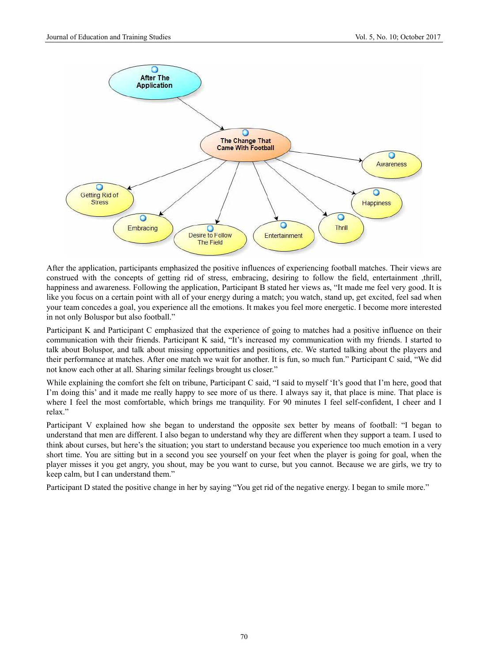

After the application, participants emphasized the positive influences of experiencing football matches. Their views are construed with the concepts of getting rid of stress, embracing, desiring to follow the field, entertainment ,thrill, happiness and awareness. Following the application, Participant B stated her views as, "It made me feel very good. It is like you focus on a certain point with all of your energy during a match; you watch, stand up, get excited, feel sad when your team concedes a goal, you experience all the emotions. It makes you feel more energetic. I become more interested in not only Boluspor but also football."

Participant K and Participant C emphasized that the experience of going to matches had a positive influence on their communication with their friends. Participant K said, "It's increased my communication with my friends. I started to talk about Boluspor, and talk about missing opportunities and positions, etc. We started talking about the players and their performance at matches. After one match we wait for another. It is fun, so much fun." Participant C said, "We did not know each other at all. Sharing similar feelings brought us closer."

While explaining the comfort she felt on tribune, Participant C said, "I said to myself 'It's good that I'm here, good that I'm doing this' and it made me really happy to see more of us there. I always say it, that place is mine. That place is where I feel the most comfortable, which brings me tranquility. For 90 minutes I feel self-confident, I cheer and I relax."

Participant V explained how she began to understand the opposite sex better by means of football: "I began to understand that men are different. I also began to understand why they are different when they support a team. I used to think about curses, but here's the situation; you start to understand because you experience too much emotion in a very short time. You are sitting but in a second you see yourself on your feet when the player is going for goal, when the player misses it you get angry, you shout, may be you want to curse, but you cannot. Because we are girls, we try to keep calm, but I can understand them."

Participant D stated the positive change in her by saying "You get rid of the negative energy. I began to smile more."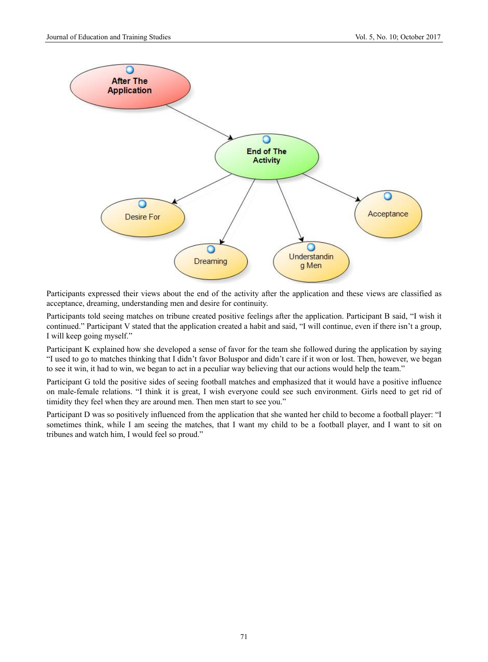

Participants expressed their views about the end of the activity after the application and these views are classified as acceptance, dreaming, understanding men and desire for continuity.

Participants told seeing matches on tribune created positive feelings after the application. Participant B said, "I wish it continued." Participant V stated that the application created a habit and said, "I will continue, even if there isn't a group, I will keep going myself."

Participant K explained how she developed a sense of favor for the team she followed during the application by saying "I used to go to matches thinking that I didn't favor Boluspor and didn't care if it won or lost. Then, however, we began to see it win, it had to win, we began to act in a peculiar way believing that our actions would help the team."

Participant G told the positive sides of seeing football matches and emphasized that it would have a positive influence on male-female relations. "I think it is great, I wish everyone could see such environment. Girls need to get rid of timidity they feel when they are around men. Then men start to see you."

Participant D was so positively influenced from the application that she wanted her child to become a football player: "I sometimes think, while I am seeing the matches, that I want my child to be a football player, and I want to sit on tribunes and watch him, I would feel so proud."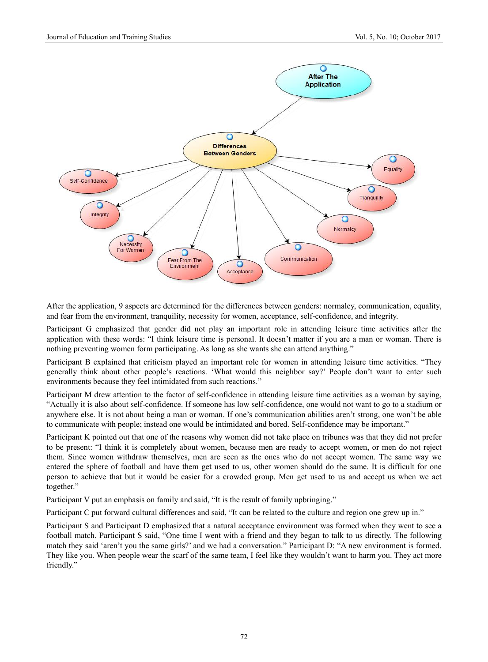

After the application, 9 aspects are determined for the differences between genders: normalcy, communication, equality, and fear from the environment, tranquility, necessity for women, acceptance, self-confidence, and integrity.

Participant G emphasized that gender did not play an important role in attending leisure time activities after the application with these words: "I think leisure time is personal. It doesn't matter if you are a man or woman. There is nothing preventing women form participating. As long as she wants she can attend anything."

Participant B explained that criticism played an important role for women in attending leisure time activities. "They generally think about other people's reactions. 'What would this neighbor say?' People don't want to enter such environments because they feel intimidated from such reactions."

Participant M drew attention to the factor of self-confidence in attending leisure time activities as a woman by saying, "Actually it is also about self-confidence. If someone has low self-confidence, one would not want to go to a stadium or anywhere else. It is not about being a man or woman. If one's communication abilities aren't strong, one won't be able to communicate with people; instead one would be intimidated and bored. Self-confidence may be important."

Participant K pointed out that one of the reasons why women did not take place on tribunes was that they did not prefer to be present: "I think it is completely about women, because men are ready to accept women, or men do not reject them. Since women withdraw themselves, men are seen as the ones who do not accept women. The same way we entered the sphere of football and have them get used to us, other women should do the same. It is difficult for one person to achieve that but it would be easier for a crowded group. Men get used to us and accept us when we act together."

Participant V put an emphasis on family and said, "It is the result of family upbringing."

Participant C put forward cultural differences and said, "It can be related to the culture and region one grew up in."

Participant S and Participant D emphasized that a natural acceptance environment was formed when they went to see a football match. Participant S said, "One time I went with a friend and they began to talk to us directly. The following match they said 'aren't you the same girls?' and we had a conversation." Participant D: "A new environment is formed. They like you. When people wear the scarf of the same team, I feel like they wouldn't want to harm you. They act more friendly."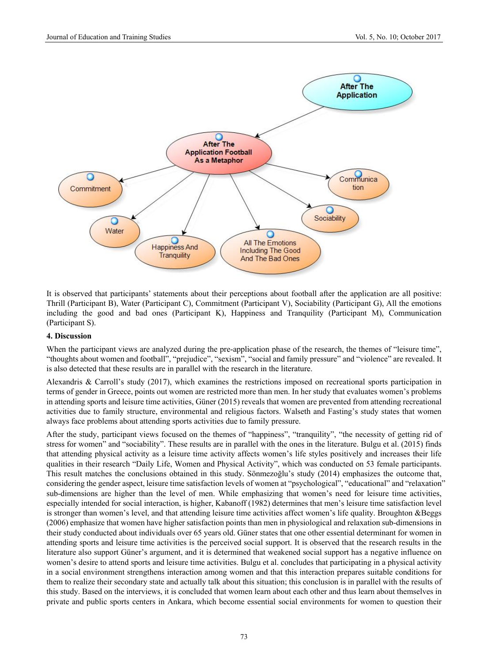

It is observed that participants' statements about their perceptions about football after the application are all positive: Thrill (Participant B), Water (Participant C), Commitment (Participant V), Sociability (Participant G), All the emotions including the good and bad ones (Participant K), Happiness and Tranquility (Participant M), Communication (Participant S).

# **4. Discussion**

When the participant views are analyzed during the pre-application phase of the research, the themes of "leisure time", "thoughts about women and football", "prejudice", "sexism", "social and family pressure" and "violence" are revealed. It is also detected that these results are in parallel with the research in the literature.

Alexandris & Carroll's study (2017), which examines the restrictions imposed on recreational sports participation in terms of gender in Greece, points out women are restricted more than men. In her study that evaluates women's problems in attending sports and leisure time activities, Güner (2015) reveals that women are prevented from attending recreational activities due to family structure, environmental and religious factors. Walseth and Fasting's study states that women always face problems about attending sports activities due to family pressure.

After the study, participant views focused on the themes of "happiness", "tranquility", "the necessity of getting rid of stress for women" and "sociability". These results are in parallel with the ones in the literature. Bulgu et al. (2015) finds that attending physical activity as a leisure time activity affects women's life styles positively and increases their life qualities in their research "Daily Life, Women and Physical Activity", which was conducted on 53 female participants. This result matches the conclusions obtained in this study. Sönmezoğlu's study (2014) emphasizes the outcome that, considering the gender aspect, leisure time satisfaction levels of women at "psychological", "educational" and "relaxation" sub-dimensions are higher than the level of men. While emphasizing that women's need for leisure time activities, especially intended for social interaction, is higher, Kabanoff (1982) determines that men's leisure time satisfaction level is stronger than women's level, and that attending leisure time activities affect women's life quality. Broughton &Beggs (2006) emphasize that women have higher satisfaction points than men in physiological and relaxation sub-dimensions in their study conducted about individuals over 65 years old. Güner states that one other essential determinant for women in attending sports and leisure time activities is the perceived social support. It is observed that the research results in the literature also support Güner's argument, and it is determined that weakened social support has a negative influence on women's desire to attend sports and leisure time activities. Bulgu et al. concludes that participating in a physical activity in a social environment strengthens interaction among women and that this interaction prepares suitable conditions for them to realize their secondary state and actually talk about this situation; this conclusion is in parallel with the results of this study. Based on the interviews, it is concluded that women learn about each other and thus learn about themselves in private and public sports centers in Ankara, which become essential social environments for women to question their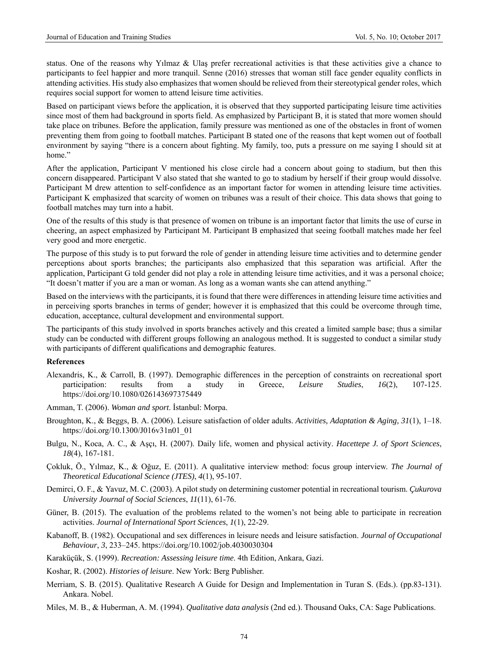status. One of the reasons why Yılmaz & Ulaş prefer recreational activities is that these activities give a chance to participants to feel happier and more tranquil. Senne (2016) stresses that woman still face gender equality conflicts in attending activities. His study also emphasizes that women should be relieved from their stereotypical gender roles, which requires social support for women to attend leisure time activities.

Based on participant views before the application, it is observed that they supported participating leisure time activities since most of them had background in sports field. As emphasized by Participant B, it is stated that more women should take place on tribunes. Before the application, family pressure was mentioned as one of the obstacles in front of women preventing them from going to football matches. Participant B stated one of the reasons that kept women out of football environment by saying "there is a concern about fighting. My family, too, puts a pressure on me saying I should sit at home."

After the application, Participant V mentioned his close circle had a concern about going to stadium, but then this concern disappeared. Participant V also stated that she wanted to go to stadium by herself if their group would dissolve. Participant M drew attention to self-confidence as an important factor for women in attending leisure time activities. Participant K emphasized that scarcity of women on tribunes was a result of their choice. This data shows that going to football matches may turn into a habit.

One of the results of this study is that presence of women on tribune is an important factor that limits the use of curse in cheering, an aspect emphasized by Participant M. Participant B emphasized that seeing football matches made her feel very good and more energetic.

The purpose of this study is to put forward the role of gender in attending leisure time activities and to determine gender perceptions about sports branches; the participants also emphasized that this separation was artificial. After the application, Participant G told gender did not play a role in attending leisure time activities, and it was a personal choice; "It doesn't matter if you are a man or woman. As long as a woman wants she can attend anything."

Based on the interviews with the participants, it is found that there were differences in attending leisure time activities and in perceiving sports branches in terms of gender; however it is emphasized that this could be overcome through time, education, acceptance, cultural development and environmental support.

The participants of this study involved in sports branches actively and this created a limited sample base; thus a similar study can be conducted with different groups following an analogous method. It is suggested to conduct a similar study with participants of different qualifications and demographic features.

## **References**

- Alexandris, K., & Carroll, B. (1997). Demographic differences in the perception of constraints on recreational sport participation: results from a study in Greece, *Leisure Studies*, *16*(2), 107-125. https://doi.org/10.1080/026143697375449
- Amman, T. (2006). *Woman and sport*. İstanbul: Morpa.
- Broughton, K., & Beggs, B. A. (2006). Leisure satisfaction of older adults. *Activities, Adaptation & Aging, 31*(1), 1–18. https://doi.org/10.1300/J016v31n01\_01
- Bulgu, N., Koca, A. C., & Aşçı, H. (2007). Daily life, women and physical activity. *Hacettepe J. of Sport Sciences*, *18*(4), 167-181.
- Çokluk, Ö., Yılmaz, K., & Oğuz, E. (2011). A qualitative interview method: focus group interview. *The Journal of Theoretical Educational Science (JTES)*, *4*(1), 95-107.
- Demirci, O. F., & Yavuz, M. C. (2003). A pilot study on determining customer potential in recreational tourism. *Çukurova University Journal of Social Sciences*, *11*(11), 61-76.
- Güner, B. (2015). The evaluation of the problems related to the women's not being able to participate in recreation activities. *Journal of International Sport Sciences*, *1*(1), 22-29.
- Kabanoff, B. (1982). Occupational and sex differences in leisure needs and leisure satisfaction. *Journal of Occupational Behaviour*, *3*, 233–245. https://doi.org/10.1002/job.4030030304
- Karaküçük, S. (1999). *Recreation: Assessing leisure time*. 4th Edition, Ankara, Gazi.
- Koshar, R. (2002). *Histories of leisure*. New York: Berg Publisher.
- Merriam, S. B. (2015). Qualitative Research A Guide for Design and Implementation in Turan S. (Eds.). (pp.83-131). Ankara. Nobel.
- Miles, M. B., & Huberman, A. M. (1994). *Qualitative data analysis* (2nd ed.). Thousand Oaks, CA: Sage Publications.